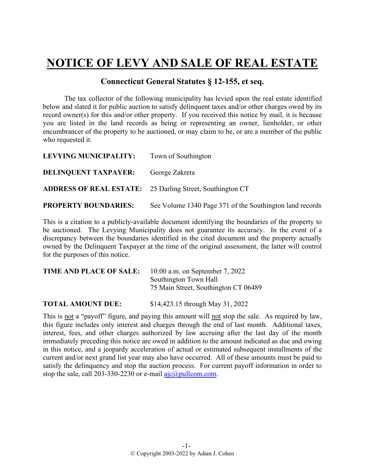## **NOTICE OF LEVY AND SALE OF REAL ESTATE**

## **Connecticut General Statutes § 12-155, et seq.**

The tax collector of the following municipality has levied upon the real estate identified below and slated it for public auction to satisfy delinquent taxes and/or other charges owed by its record owner(s) for this and/or other property. If you received this notice by mail, it is because you are listed in the land records as being or representing an owner, lienholder, or other encumbrancer of the property to be auctioned, or may claim to be, or are a member of the public who requested it.

| LEVYING MUNICIPALITY:       | Town of Southington                                              |
|-----------------------------|------------------------------------------------------------------|
| <b>DELINQUENT TAXPAYER:</b> | George Zakreta                                                   |
|                             | <b>ADDRESS OF REAL ESTATE:</b> 25 Darling Street, Southington CT |
| <b>PROPERTY BOUNDARIES:</b> | See Volume 1340 Page 371 of the Southington land records         |

This is a citation to a publicly-available document identifying the boundaries of the property to be auctioned. The Levying Municipality does not guarantee its accuracy. In the event of a discrepancy between the boundaries identified in the cited document and the property actually owned by the Delinquent Taxpayer at the time of the original assessment, the latter will control for the purposes of this notice.

| <b>TIME AND PLACE OF SALE:</b> | $10:00$ a.m. on September 7, 2022    |
|--------------------------------|--------------------------------------|
|                                | Southington Town Hall                |
|                                | 75 Main Street, Southington CT 06489 |
|                                |                                      |

**TOTAL AMOUNT DUE:** \$14,423.15 through May 31, 2022

This is not a "payoff" figure, and paying this amount will not stop the sale. As required by law, this figure includes only interest and charges through the end of last month. Additional taxes, interest, fees, and other charges authorized by law accruing after the last day of the month immediately preceding this notice are owed in addition to the amount indicated as due and owing in this notice, and a jeopardy acceleration of actual or estimated subsequent installments of the current and/or next grand list year may also have occurred. All of these amounts must be paid to satisfy the delinquency and stop the auction process. For current payoff information in order to stop the sale, call 203-330-2230 or e-mail  $a$ jc $@p$ ullcom.com.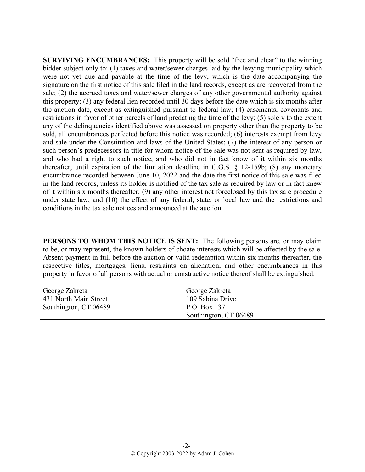**SURVIVING ENCUMBRANCES:** This property will be sold "free and clear" to the winning bidder subject only to: (1) taxes and water/sewer charges laid by the levying municipality which were not yet due and payable at the time of the levy, which is the date accompanying the signature on the first notice of this sale filed in the land records, except as are recovered from the sale; (2) the accrued taxes and water/sewer charges of any other governmental authority against this property; (3) any federal lien recorded until 30 days before the date which is six months after the auction date, except as extinguished pursuant to federal law; (4) easements, covenants and restrictions in favor of other parcels of land predating the time of the levy; (5) solely to the extent any of the delinquencies identified above was assessed on property other than the property to be sold, all encumbrances perfected before this notice was recorded; (6) interests exempt from levy and sale under the Constitution and laws of the United States; (7) the interest of any person or such person's predecessors in title for whom notice of the sale was not sent as required by law, and who had a right to such notice, and who did not in fact know of it within six months thereafter, until expiration of the limitation deadline in C.G.S. § 12-159b; (8) any monetary encumbrance recorded between June 10, 2022 and the date the first notice of this sale was filed in the land records, unless its holder is notified of the tax sale as required by law or in fact knew of it within six months thereafter; (9) any other interest not foreclosed by this tax sale procedure under state law; and (10) the effect of any federal, state, or local law and the restrictions and conditions in the tax sale notices and announced at the auction.

**PERSONS TO WHOM THIS NOTICE IS SENT:** The following persons are, or may claim to be, or may represent, the known holders of choate interests which will be affected by the sale. Absent payment in full before the auction or valid redemption within six months thereafter, the respective titles, mortgages, liens, restraints on alienation, and other encumbrances in this property in favor of all persons with actual or constructive notice thereof shall be extinguished.

| George Zakreta        | <sup>1</sup> George Zakreta |
|-----------------------|-----------------------------|
| 431 North Main Street | 109 Sabina Drive            |
| Southington, CT 06489 | $\vert$ P.O. Box 137        |
|                       | Southington, CT 06489       |